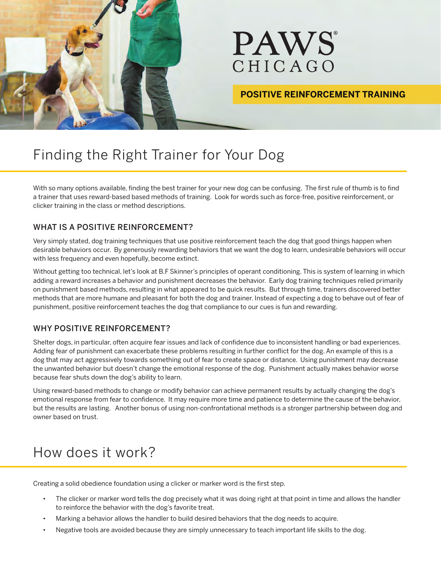

### **POSITIVE REINFORCEMENT TRAINING**

# Finding the Right Trainer for Your Dog

With so many options available, finding the best trainer for your new dog can be confusing. The first rule of thumb is to find a trainer that uses reward-based based methods of training. Look for words such as force-free, positive reinforcement, or clicker training in the class or method descriptions.

#### WHAT IS A POSITIVE REINFORCEMENT?

Very simply stated, dog training techniques that use positive reinforcement teach the dog that good things happen when desirable behaviors occur. By generously rewarding behaviors that we want the dog to learn, undesirable behaviors will occur with less frequency and even hopefully, become extinct.

Without getting too technical, let's look at B.F Skinner's principles of operant conditioning. This is system of learning in which adding a reward increases a behavior and punishment decreases the behavior. Early dog training techniques relied primarily on punishment based methods, resulting in what appeared to be quick results. But through time, trainers discovered better methods that are more humane and pleasant for both the dog and trainer. Instead of expecting a dog to behave out of fear of punishment, positive reinforcement teaches the dog that compliance to our cues is fun and rewarding.

#### WHY POSITIVE REINFORCEMENT?

Shelter dogs, in particular, often acquire fear issues and lack of confidence due to inconsistent handling or bad experiences. Adding fear of punishment can exacerbate these problems resulting in further conflict for the dog. An example of this is a dog that may act aggressively towards something out of fear to create space or distance. Using punishment may decrease the unwanted behavior but doesn't change the emotional response of the dog. Punishment actually makes behavior worse because fear shuts down the dog's ability to learn.

Using reward-based methods to change or modify behavior can achieve permanent results by actually changing the dog's emotional response from fear to confidence. It may require more time and patience to determine the cause of the behavior, but the results are lasting. Another bonus of using non-confrontational methods is a stronger partnership between dog and owner based on trust.

## How does it work?

Creating a solid obedience foundation using a clicker or marker word is the first step.

- The clicker or marker word tells the dog precisely what it was doing right at that point in time and allows the handler to reinforce the behavior with the dog's favorite treat.
- Marking a behavior allows the handler to build desired behaviors that the dog needs to acquire.
- Negative tools are avoided because they are simply unnecessary to teach important life skills to the dog.